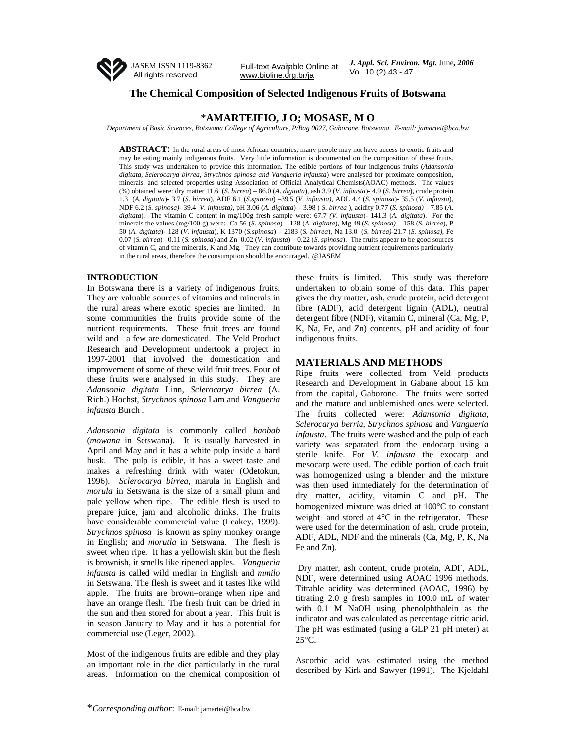

**]**  Vol. 10 (2) 43 - 47 Full-text Available Online at www.bioline.org.br/ja

*J. Appl. Sci. Environ. Mgt.* June*, 2006* 

# **The Chemical Composition of Selected Indigenous Fruits of Botswana**

# \***AMARTEIFIO, J O; MOSASE, M O**

*Department of Basic Sciences, Botswana College of Agriculture, P/Bag 0027, Gaborone, Botswana. E-mail: jamartei@bca.bw* 

**ABSTRACT**: In the rural areas of most African countries, many people may not have access to exotic fruits and may be eating mainly indigenous fruits. Very little information is documented on the composition of these fruits. This study was undertaken to provide this information. The edible portions of four indigenous fruits (*Adansonia digitata, Sclerocarya birrea, Strychnos spinosa and Vangueria infausta*) were analysed for proximate composition, minerals, and selected properties using Association of Official Analytical Chemists(AOAC) methods. The values (%) obtained were: dry matter 11.6 (*S. birrea*) – 86.0 (*A*. *digitata*), ash 3.9 (*V. infausta*)- 4.9 (*S. birrea*), crude protein 1.3 (*A. digitata*)- 3.7 (*S. birrea*), ADF 6.1 (*S.spinosa*) –39.5 (*V*. *infausta)*, ADL 4.4 (*S. spinosa*)- 35.5 (*V*. *infausta*), NDF 6.2 (*S. spinosa)-* 39.4 *V. infausta)*, pH 3.06 (*A. digitata*) – 3.98 ( *S. birrea* ), acidity 0.77 (*S. spinosa)* – 7.85 (*A. digitata*). The vitamin C content in mg/100g fresh sample were: 67.7 *(V*. *infausta*)- 141.3 (*A. digitata*). For the minerals the values (mg/100 g) were: Ca 56 (*S. spinosa*) – 128 (*A*. *digitata*), Mg 49 (*S. spinosa)* – 158 (*S. birrea*), P 50 (*A. digitata*)- 128 (*V. infausta*), K 1370 (*S.spinosa*) – 2183 (*S. birrea*), Na 13.0 (*S. birrea)*-21.7 (*S. spinosa)*, Fe 0.07 (*S. birrea*) –0.11 (*S. spinosa*) and Zn 0.02 (*V. infausta*) – 0.22 (*S. spinosa*). The fruits appear to be good sources of vitamin C, and the minerals, K and Mg. They can contribute towards providing nutrient requirements particularly in the rural areas, therefore the consumption should be encouraged. @JASEM

### **INTRODUCTION**

In Botswana there is a variety of indigenous fruits. They are valuable sources of vitamins and minerals in the rural areas where exotic species are limited. In some communities the fruits provide some of the nutrient requirements. These fruit trees are found wild and a few are domesticated. The Veld Product Research and Development undertook a project in 1997-2001 that involved the domestication and improvement of some of these wild fruit trees. Four of these fruits were analysed in this study. They are *Adansonia digitata* Linn*, Sclerocarya birrea* (A. Rich.) Hochst*, Strychnos spinosa* Lam and *Vangueria infausta* Burch .

*Adansonia digitata* is commonly called *baobab*  (*mowana* in Setswana). It is usually harvested in April and May and it has a white pulp inside a hard husk. The pulp is edible, it has a sweet taste and makes a refreshing drink with water (Odetokun, 1996). *Sclerocarya birrea*, marula in English and *morula* in Setswana is the size of a small plum and pale yellow when ripe. The edible flesh is used to prepare juice, jam and alcoholic drinks. The fruits have considerable commercial value (Leakey, 1999). *Strychnos spinosa* is known as spiny monkey orange in English; and *morutla* in Setswana. The flesh is sweet when ripe. It has a yellowish skin but the flesh is brownish, it smells like ripened apples. *Vangueria infausta* is called wild medlar in English and *mmilo* in Setswana. The flesh is sweet and it tastes like wild apple. The fruits are brown–orange when ripe and have an orange flesh. The fresh fruit can be dried in the sun and then stored for about a year. This fruit is in season January to May and it has a potential for commercial use (Leger, 2002).

Most of the indigenous fruits are edible and they play an important role in the diet particularly in the rural areas. Information on the chemical composition of these fruits is limited. This study was therefore undertaken to obtain some of this data. This paper gives the dry matter, ash, crude protein, acid detergent fibre (ADF), acid detergent lignin (ADL), neutral detergent fibre (NDF), vitamin C, mineral (Ca, Mg, P, K, Na, Fe, and Zn) contents, pH and acidity of four indigenous fruits.

## **MATERIALS AND METHODS**

Ripe fruits were collected from Veld products Research and Development in Gabane about 15 km from the capital, Gaborone. The fruits were sorted and the mature and unblemished ones were selected. The fruits collected were: *Adansonia digitata*, *Sclerocarya berria, Strychnos spinosa* and *Vangueria infausta*. The fruits were washed and the pulp of each variety was separated from the endocarp using a sterile knife. For *V. infausta* the exocarp and mesocarp were used. The edible portion of each fruit was homogenized using a blender and the mixture was then used immediately for the determination of dry matter, acidity, vitamin C and pH. The homogenized mixture was dried at 100°C to constant weight and stored at 4°C in the refrigerator. These were used for the determination of ash, crude protein, ADF, ADL, NDF and the minerals (Ca, Mg, P, K, Na Fe and Zn).

 Dry matter, ash content, crude protein, ADF, ADL, NDF, were determined using AOAC 1996 methods. Titrable acidity was determined (AOAC, 1996) by titrating 2.0 g fresh samples in 100.0 mL of water with 0.1 M NaOH using phenolphthalein as the indicator and was calculated as percentage citric acid. The pH was estimated (using a GLP 21 pH meter) at 25°C.

Ascorbic acid was estimated using the method described by Kirk and Sawyer (1991). The Kjeldahl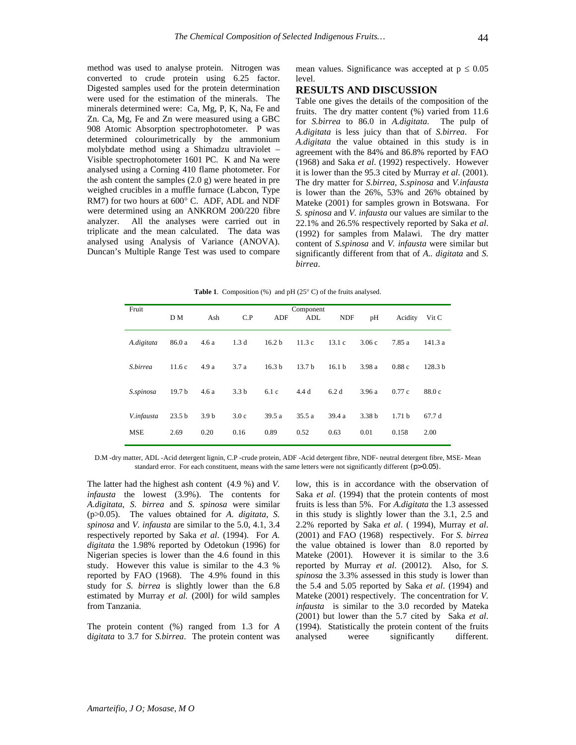method was used to analyse protein. Nitrogen was converted to crude protein using 6.25 factor. Digested samples used for the protein determination were used for the estimation of the minerals. The minerals determined were: Ca, Mg, P, K, Na, Fe and Zn. Ca, Mg, Fe and Zn were measured using a GBC 908 Atomic Absorption spectrophotometer. P was determined colourimetrically by the ammonium molybdate method using a Shimadzu ultraviolet – Visible spectrophotometer 1601 PC. K and Na were analysed using a Corning 410 flame photometer. For the ash content the samples (2.0 g) were heated in pre weighed crucibles in a muffle furnace (Labcon, Type RM7) for two hours at 600° C. ADF, ADL and NDF were determined using an ANKROM 200/220 fibre analyzer. All the analyses were carried out in triplicate and the mean calculated. The data was analysed using Analysis of Variance (ANOVA). Duncan's Multiple Range Test was used to compare

mean values. Significance was accepted at  $p \leq 0.05$ level.

### **RESULTS AND DISCUSSION**

Table one gives the details of the composition of the fruits. The dry matter content (%) varied from 11.6 for *S.birrea* to 86.0 in *A.digitata*. The pulp of *A.digitata* is less juicy than that of *S.birrea*. For *A.digitata* the value obtained in this study is in agreement with the 84% and 86.8% reported by FAO (1968) and Saka *et al*. (1992) respectively. However it is lower than the 95.3 cited by Murray *et al*. (2001). The dry matter for *S.birrea*, *S.spinosa* and *V.infausta*  is lower than the 26%, 53% and 26% obtained by Mateke (2001) for samples grown in Botswana. For *S. spinosa* and *V. infausta* our values are similar to the 22.1% and 26.5% respectively reported by Saka *et al*. (1992) for samples from Malawi. The dry matter content of *S.spinosa* and *V. infausta* were similar but significantly different from that of *A.. digitata* and *S. birrea*.

**Table 1**. Composition (%) and pH (25° C) of the fruits analysed.

| Fruit      | D M               | Ash              | C.P              | ADF               | Component<br>ADL  | <b>NDF</b>        | pH                | Acidity           | Vit C              |
|------------|-------------------|------------------|------------------|-------------------|-------------------|-------------------|-------------------|-------------------|--------------------|
| A.digitata | 86.0 a            | 4.6a             | 1.3d             | 16.2 <sub>b</sub> | 11.3c             | 13.1c             | 3.06c             | 7.85 a            | 141.3a             |
| S.birrea   | 11.6c             | 4.9a             | 3.7a             | 16.3 <sub>b</sub> | 13.7 <sub>b</sub> | 16.1 <sub>b</sub> | 3.98a             | 0.88c             | 128.3 <sub>b</sub> |
| S.spinosa  | 19.7 <sub>b</sub> | 4.6a             | 3.3 <sub>b</sub> | 6.1c              | 4.4d              | 6.2d              | 3.96a             | 0.77c             | 88.0c              |
| V.infausta | 23.5 <sub>b</sub> | 3.9 <sub>b</sub> | 3.0c             | 39.5 a            | 35.5a             | 39.4 a            | 3.38 <sub>b</sub> | 1.71 <sub>b</sub> | 67.7 d             |
| <b>MSE</b> | 2.69              | 0.20             | 0.16             | 0.89              | 0.52              | 0.63              | 0.01              | 0.158             | 2.00               |

D.M -dry matter, ADL -Acid detergent lignin, C.P -crude protein, ADF -Acid detergent fibre, NDF- neutral detergent fibre, MSE- Mean standard error. For each constituent, means with the same letters were not significantly different (p>0.05).

The latter had the highest ash content (4.9 %) and *V. infausta* the lowest (3.9%). The contents for *A.digitata*, *S. birrea* and *S. spinosa* were similar (p>0.05). The values obtained for *A*. *digitata*, *S. spinosa* and *V. infausta* are similar to the 5.0, 4.1, 3.4 respectively reported by Saka *et al*. (1994). For *A. digitata* the 1.98% reported by Odetokun (1996) for Nigerian species is lower than the 4.6 found in this study. However this value is similar to the 4.3 % reported by FAO (1968). The 4.9% found in this study for *S. birrea* is slightly lower than the 6.8 estimated by Murray *et al.* (200l) for wild samples from Tanzania.

The protein content (%) ranged from 1.3 for *A* d*igitata* to 3.7 for *S.birrea*. The protein content was

low, this is in accordance with the observation of Saka *et al.* (1994) that the protein contents of most fruits is less than 5%. For *A.digitata* the 1.3 assessed in this study is slightly lower than the 3.1, 2.5 and 2.2% reported by Saka *et al*. ( 1994), Murray *et al*. (2001) and FAO (1968) respectively. For *S. birrea* the value obtained is lower than 8.0 reported by Mateke (2001). However it is similar to the 3.6 reported by Murray *et al*. (20012). Also, for *S. spinosa* the 3.3% assessed in this study is lower than the 5.4 and 5.05 reported by Saka *et al*. (1994) and Mateke (2001) respectively. The concentration for *V. infausta* is similar to the 3.0 recorded by Mateka (2001) but lower than the 5.7 cited by Saka *et al*. (1994). Statistically the protein content of the fruits analysed weree significantly different.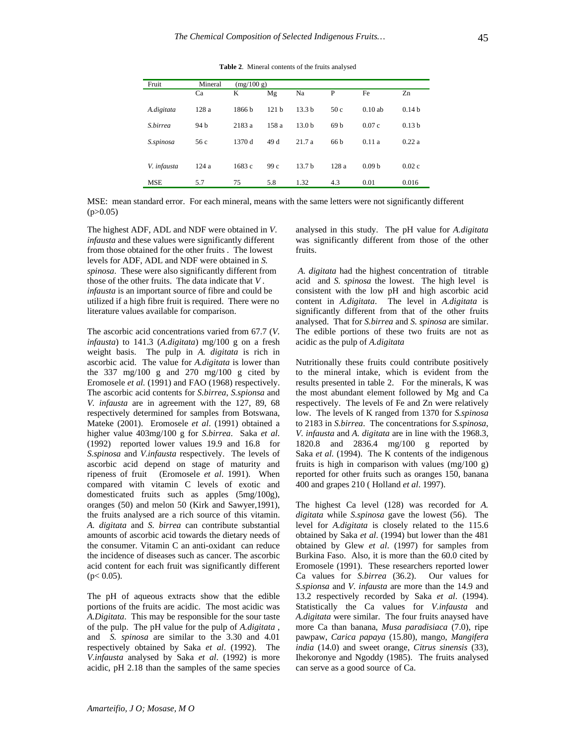| Fruit       | Mineral | (mg/100 g) |       |                   |      |                   |                   |  |  |
|-------------|---------|------------|-------|-------------------|------|-------------------|-------------------|--|--|
|             | Ca      | K          | Mg    | Na                | P    | Fe                | Zn                |  |  |
| A.digitata  | 128a    | 1866 b     | 121h  | 13.3 <sub>b</sub> | 50c  | $0.10$ ab         | 0.14 <sub>b</sub> |  |  |
| S birrea    | 94h     | 2183 a     | 158 a | 13.0 <sub>b</sub> | 69 h | 0.07c             | 0.13 <sub>b</sub> |  |  |
| S.spinosa   | 56 c    | 1370 d     | 49 d  | 21.7a             | 66 b | 0.11a             | 0.22a             |  |  |
| V. infausta | 124a    | 1683 c     | 99c   | 13.7 <sub>b</sub> | 128a | 0.09 <sub>b</sub> | 0.02c             |  |  |
| <b>MSE</b>  | 5.7     | 75         | 5.8   | 1.32              | 4.3  | 0.01              | 0.016             |  |  |

**Table 2**. Mineral contents of the fruits analysed

MSE: mean standard error. For each mineral, means with the same letters were not significantly different  $(p>0.05)$ 

The highest ADF, ADL and NDF were obtained in *V*. *infausta* and these values were significantly different from those obtained for the other fruits . The lowest levels for ADF, ADL and NDF were obtained in *S. spinosa*. These were also significantly different from those of the other fruits. The data indicate that *V . infausta* is an important source of fibre and could be utilized if a high fibre fruit is required. There were no literature values available for comparison.

The ascorbic acid concentrations varied from 67.7 (*V. infausta*) to 141.3 (*A.digitata*) mg/100 g on a fresh weight basis. The pulp in *A. digitata* is rich in ascorbic acid. The value for *A.digitata* is lower than the 337 mg/100 g and 270 mg/100 g cited by Eromosele *et al.* (1991) and FAO (1968) respectively. The ascorbic acid contents for *S.birrea*, *S.spionsa* and *V. infausta* are in agreement with the 127, 89, 68 respectively determined for samples from Botswana, Mateke (2001). Eromosele *et al*. (1991) obtained a higher value 403mg/100 g for *S.birrea*. Saka *et al.* (1992) reported lower values 19.9 and 16.8 for *S.spinosa* and *V.infausta* respectively. The levels of ascorbic acid depend on stage of maturity and ripeness of fruit (Eromosele *et al*. 1991). When compared with vitamin C levels of exotic and domesticated fruits such as apples (5mg/100g), oranges (50) and melon 50 (Kirk and Sawyer,1991), the fruits analysed are a rich source of this vitamin. *A. digitata* and *S. birrea* can contribute substantial amounts of ascorbic acid towards the dietary needs of the consumer. Vitamin C an anti-oxidant can reduce the incidence of diseases such as cancer. The ascorbic acid content for each fruit was significantly different  $(p< 0.05)$ .

The pH of aqueous extracts show that the edible portions of the fruits are acidic. The most acidic was *A.Digitata*. This may be responsible for the sour taste of the pulp. The pH value for the pulp of *A.digitata* , and *S. spinosa* are similar to the 3.30 and 4.01 respectively obtained by Saka *et al*. (1992). The *V.infausta* analysed by Saka *et al*. (1992) is more acidic, pH 2.18 than the samples of the same species analysed in this study. The pH value for *A.digitata* was significantly different from those of the other fruits.

*A. digitata* had the highest concentration of titrable acid and *S. spinosa* the lowest. The high level is consistent with the low pH and high ascorbic acid content in *A.digitata*. The level in *A.digitata* is significantly different from that of the other fruits analysed. That for *S.birrea* and *S. spinosa* are similar. The edible portions of these two fruits are not as acidic as the pulp of *A.digitata*

Nutritionally these fruits could contribute positively to the mineral intake, which is evident from the results presented in table 2. For the minerals, K was the most abundant element followed by Mg and Ca respectively. The levels of Fe and Zn were relatively low. The levels of K ranged from 1370 for *S.spinosa* to 2183 in *S.birrea*. The concentrations for *S.spinosa*, *V. infausta* and *A. digitata* are in line with the 1968.3, 1820.8 and 2836.4 mg/100 g reported by Saka *et al.* (1994). The K contents of the indigenous fruits is high in comparison with values  $(mg/100 g)$ reported for other fruits such as oranges 150, banana 400 and grapes 210 ( Holland *et al*. 1997).

The highest Ca level (128) was recorded for *A. digitata* while *S.spinosa* gave the lowest (56). The level for *A.digitata* is closely related to the 115.6 obtained by Saka *et al*. (1994) but lower than the 481 obtained by Glew *et al*. (1997) for samples from Burkina Faso. Also, it is more than the 60.0 cited by Eromosele (1991). These researchers reported lower Ca values for *S.birrea* (36.2). Our values for *S.spionsa* and *V. infausta* are more than the 14.9 and 13.2 respectively recorded by Saka *et al*. (1994). Statistically the Ca values for *V.infausta* and *A.digitata* were similar. The four fruits anaysed have more Ca than banana, *Musa paradisiaca* (7.0), ripe pawpaw, *Carica papaya* (15.80), mango, *Mangifera india* (14.0) and sweet orange, *Citrus sinensis* (33), Ihekoronye and Ngoddy (1985). The fruits analysed can serve as a good source of Ca.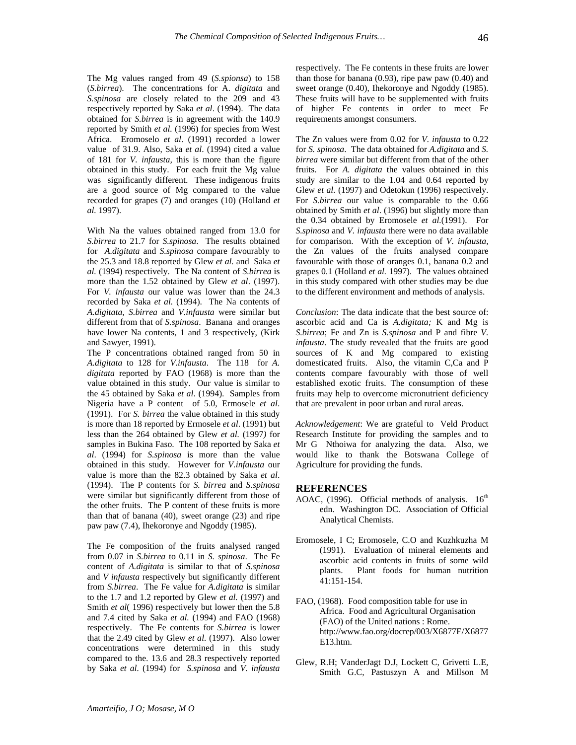46

The Mg values ranged from 49 (*S.spionsa*) to 158 (*S.birrea*). The concentrations for A. *digitata* and *S.spinosa* are closely related to the 209 and 43 respectively reported by Saka *et al*. (1994). The data obtained for *S.birrea* is in agreement with the 140.9 reported by Smith *et al.* (1996) for species from West Africa. Eromoselo *et al*. (1991) recorded a lower value of 31.9. Also, Saka *et al*. (1994) cited a value of 181 for *V. infausta,* this is more than the figure obtained in this study. For each fruit the Mg value was significantly different. These indigenous fruits are a good source of Mg compared to the value recorded for grapes (7) and oranges (10) (Holland *et al.* 1997).

With Na the values obtained ranged from 13.0 for *S.birrea* to 21.7 for *S.spinosa*. The results obtained for *A.digitata* and *S.spinosa* compare favourably to the 25.3 and 18.8 reported by Glew *et al.* and Saka *et al.* (1994) respectively. The Na content of *S.birrea* is more than the 1.52 obtained by Glew *et al*. (1997). For *V. infausta* our value was lower than the 24.3 recorded by Saka *et al.* (1994). The Na contents of *A.digitata*, *S.birrea* and *V.infausta* were similar but different from that of *S.spinosa*. Banana and oranges have lower Na contents, 1 and 3 respectively, (Kirk and Sawyer, 1991).

The P concentrations obtained ranged from 50 in *A.digitata* to 128 for *V.infausta*. The 118 for *A. digitata* reported by FAO (1968) is more than the value obtained in this study. Our value is similar to the 45 obtained by Saka *et al*. (1994). Samples from Nigeria have a P content of 5.0, Ermosele *et al*. (1991). For *S. birrea* the value obtained in this study is more than 18 reported by Ermosele *et al*. (1991) but less than the 264 obtained by Glew *et al.* (1997*)* for samples in Bukina Faso. The 108 reported by Saka *et al*. (1994) for *S.spinosa* is more than the value obtained in this study. However for *V.infausta* our value is more than the 82.3 obtained by Saka *et al*. (1994). The P contents for *S. birrea* and *S.spinosa* were similar but significantly different from those of the other fruits. The P content of these fruits is more than that of banana (40), sweet orange (23) and ripe paw paw (7.4), Ihekoronye and Ngoddy (1985).

The Fe composition of the fruits analysed ranged from 0.07 in *S.birrea* to 0.11 in *S. spinosa*. The Fe content of *A.digitata* is similar to that of *S.spinosa* and *V infausta* respectively but significantly different from *S.birrea*. The Fe value for *A.digitata* is similar to the 1.7 and 1.2 reported by Glew *et al.* (1997) and Smith *et al*(1996) respectively but lower then the 5.8 and 7.4 cited by Saka *et al.* (1994) and FAO (1968) respectively. The Fe contents for *S.birrea* is lower that the 2.49 cited by Glew *et al.* (1997). Also lower concentrations were determined in this study compared to the. 13.6 and 28.3 respectively reported by Saka *et al.* (1994) for *S.spinosa* and *V. infausta*

respectively. The Fe contents in these fruits are lower than those for banana  $(0.93)$ , ripe paw paw  $(0.40)$  and sweet orange (0.40), Ihekoronye and Ngoddy (1985). These fruits will have to be supplemented with fruits of higher Fe contents in order to meet Fe requirements amongst consumers.

The Zn values were from 0.02 for *V. infausta* to 0.22 for *S. spinosa*. The data obtained for *A.digitata* and *S. birrea* were similar but different from that of the other fruits. For *A. digitata* the values obtained in this study are similar to the 1.04 and 0.64 reported by Glew *et al.* (1997) and Odetokun (1996) respectively. For *S.birrea* our value is comparable to the 0.66 obtained by Smith *et al*. (1996) but slightly more than the 0.34 obtained by Eromosele *et al.*(1991). For *S.spinosa* and *V. infausta* there were no data available for comparison. With the exception of *V. infausta,* the Zn values of the fruits analysed compare favourable with those of oranges 0.1, banana 0.2 and grapes 0.1 (Holland *et al.* 1997). The values obtained in this study compared with other studies may be due to the different environment and methods of analysis.

*Conclusion*: The data indicate that the best source of: ascorbic acid and Ca is *A.digitata;* K and Mg is *S.birrea*; Fe and Zn is *S.spinosa* and P and fibre *V. infausta*. The study revealed that the fruits are good sources of K and Mg compared to existing domesticated fruits. Also, the vitamin C,Ca and P contents compare favourably with those of well established exotic fruits. The consumption of these fruits may help to overcome micronutrient deficiency that are prevalent in poor urban and rural areas.

*Acknowledgement*: We are grateful to Veld Product Research Institute for providing the samples and to Mr G Nthoiwa for analyzing the data. Also, we would like to thank the Botswana College of Agriculture for providing the funds.

### **REFERENCES**

- AOAC, (1996). Official methods of analysis.  $16<sup>th</sup>$ edn. Washington DC. Association of Official Analytical Chemists.
- Eromosele, I C; Eromosele, C.O and Kuzhkuzha M (1991). Evaluation of mineral elements and ascorbic acid contents in fruits of some wild plants. Plant foods for human nutrition 41:151-154.
- FAO, (1968). Food composition table for use in Africa. Food and Agricultural Organisation (FAO) of the United nations : Rome. http://www.fao.org/docrep/003/X6877E/X6877 E13.htm.
- Glew, R.H; VanderJagt D.J, Lockett C, Grivetti L.E, Smith G.C, Pastuszyn A and Millson M